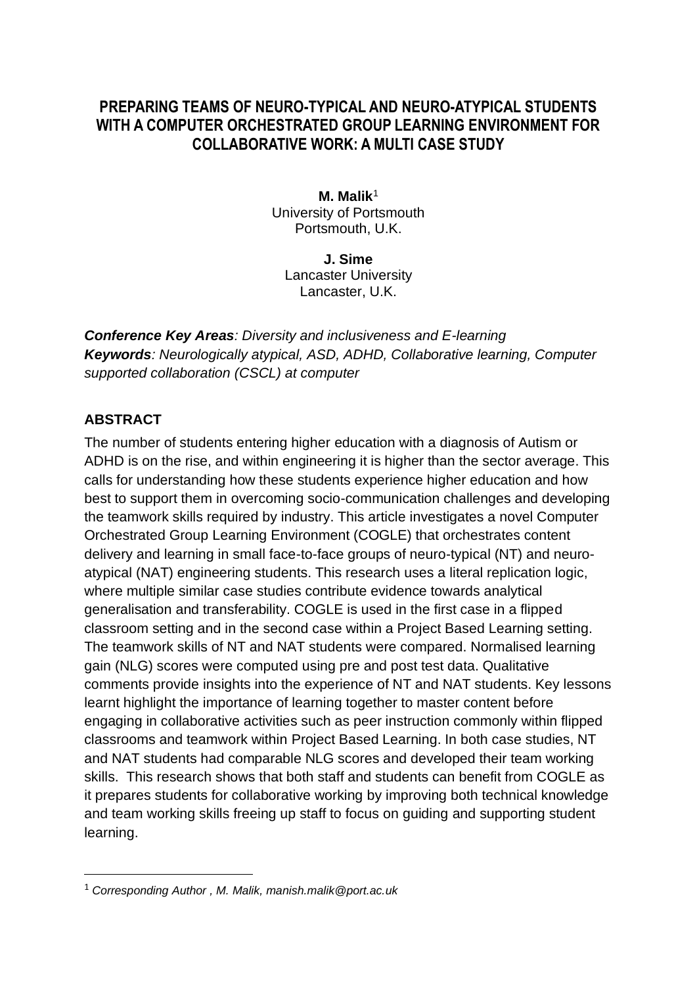## **PREPARING TEAMS OF NEURO-TYPICAL AND NEURO-ATYPICAL STUDENTS WITH A COMPUTER ORCHESTRATED GROUP LEARNING ENVIRONMENT FOR COLLABORATIVE WORK: A MULTI CASE STUDY**

**M. Malik**<sup>1</sup> University of Portsmouth Portsmouth, U.K.

**J. Sime** Lancaster University Lancaster, U.K.

*Conference Key Areas: Diversity and inclusiveness and E-learning Keywords: Neurologically atypical, ASD, ADHD, Collaborative learning, Computer supported collaboration (CSCL) at computer*

#### **ABSTRACT**

The number of students entering higher education with a diagnosis of Autism or ADHD is on the rise, and within engineering it is higher than the sector average. This calls for understanding how these students experience higher education and how best to support them in overcoming socio-communication challenges and developing the teamwork skills required by industry. This article investigates a novel Computer Orchestrated Group Learning Environment (COGLE) that orchestrates content delivery and learning in small face-to-face groups of neuro-typical (NT) and neuroatypical (NAT) engineering students. This research uses a literal replication logic, where multiple similar case studies contribute evidence towards analytical generalisation and transferability. COGLE is used in the first case in a flipped classroom setting and in the second case within a Project Based Learning setting. The teamwork skills of NT and NAT students were compared. Normalised learning gain (NLG) scores were computed using pre and post test data. Qualitative comments provide insights into the experience of NT and NAT students. Key lessons learnt highlight the importance of learning together to master content before engaging in collaborative activities such as peer instruction commonly within flipped classrooms and teamwork within Project Based Learning. In both case studies, NT and NAT students had comparable NLG scores and developed their team working skills. This research shows that both staff and students can benefit from COGLE as it prepares students for collaborative working by improving both technical knowledge and team working skills freeing up staff to focus on guiding and supporting student learning.

<sup>1</sup> *Corresponding Author , M. Malik, manish.malik@port.ac.uk*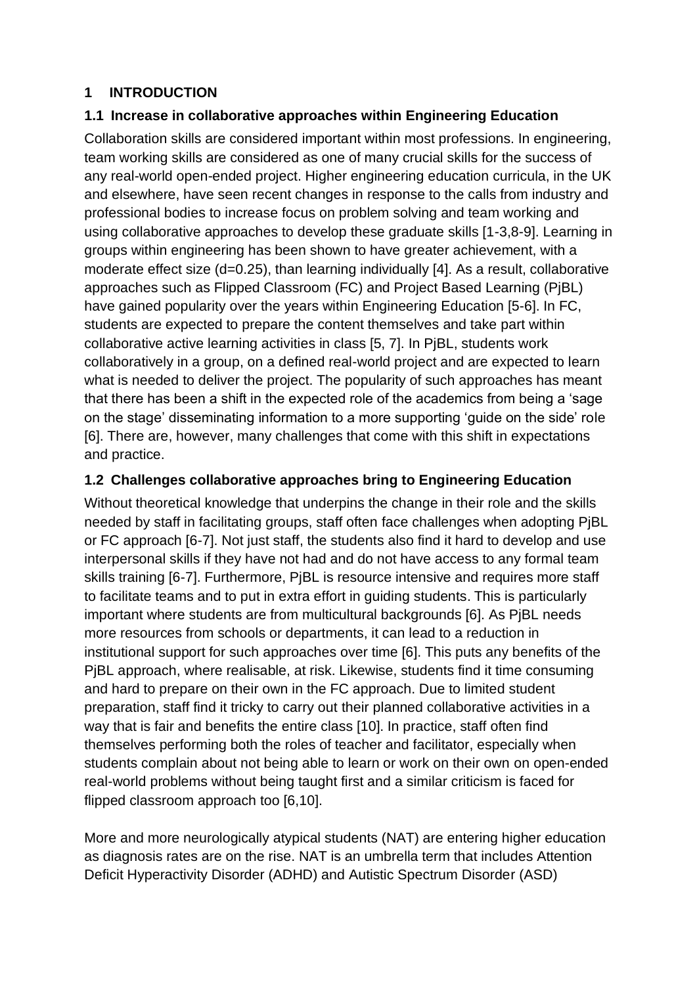#### **1 INTRODUCTION**

#### **1.1 Increase in collaborative approaches within Engineering Education**

Collaboration skills are considered important within most professions. In engineering, team working skills are considered as one of many crucial skills for the success of any real-world open-ended project. Higher engineering education curricula, in the UK and elsewhere, have seen recent changes in response to the calls from industry and professional bodies to increase focus on problem solving and team working and using collaborative approaches to develop these graduate skills [1-3,8-9]. Learning in groups within engineering has been shown to have greater achievement, with a moderate effect size (d=0.25), than learning individually [4]. As a result, collaborative approaches such as Flipped Classroom (FC) and Project Based Learning (PjBL) have gained popularity over the years within Engineering Education [5-6]. In FC, students are expected to prepare the content themselves and take part within collaborative active learning activities in class [5, 7]. In PjBL, students work collaboratively in a group, on a defined real-world project and are expected to learn what is needed to deliver the project. The popularity of such approaches has meant that there has been a shift in the expected role of the academics from being a 'sage on the stage' disseminating information to a more supporting 'guide on the side' role [6]. There are, however, many challenges that come with this shift in expectations and practice.

#### **1.2 Challenges collaborative approaches bring to Engineering Education**

Without theoretical knowledge that underpins the change in their role and the skills needed by staff in facilitating groups, staff often face challenges when adopting PjBL or FC approach [6-7]. Not just staff, the students also find it hard to develop and use interpersonal skills if they have not had and do not have access to any formal team skills training [6-7]. Furthermore, PjBL is resource intensive and requires more staff to facilitate teams and to put in extra effort in guiding students. This is particularly important where students are from multicultural backgrounds [6]. As PjBL needs more resources from schools or departments, it can lead to a reduction in institutional support for such approaches over time [6]. This puts any benefits of the PjBL approach, where realisable, at risk. Likewise, students find it time consuming and hard to prepare on their own in the FC approach. Due to limited student preparation, staff find it tricky to carry out their planned collaborative activities in a way that is fair and benefits the entire class [10]. In practice, staff often find themselves performing both the roles of teacher and facilitator, especially when students complain about not being able to learn or work on their own on open-ended real-world problems without being taught first and a similar criticism is faced for flipped classroom approach too [6,10].

More and more neurologically atypical students (NAT) are entering higher education as diagnosis rates are on the rise. NAT is an umbrella term that includes Attention Deficit Hyperactivity Disorder (ADHD) and Autistic Spectrum Disorder (ASD)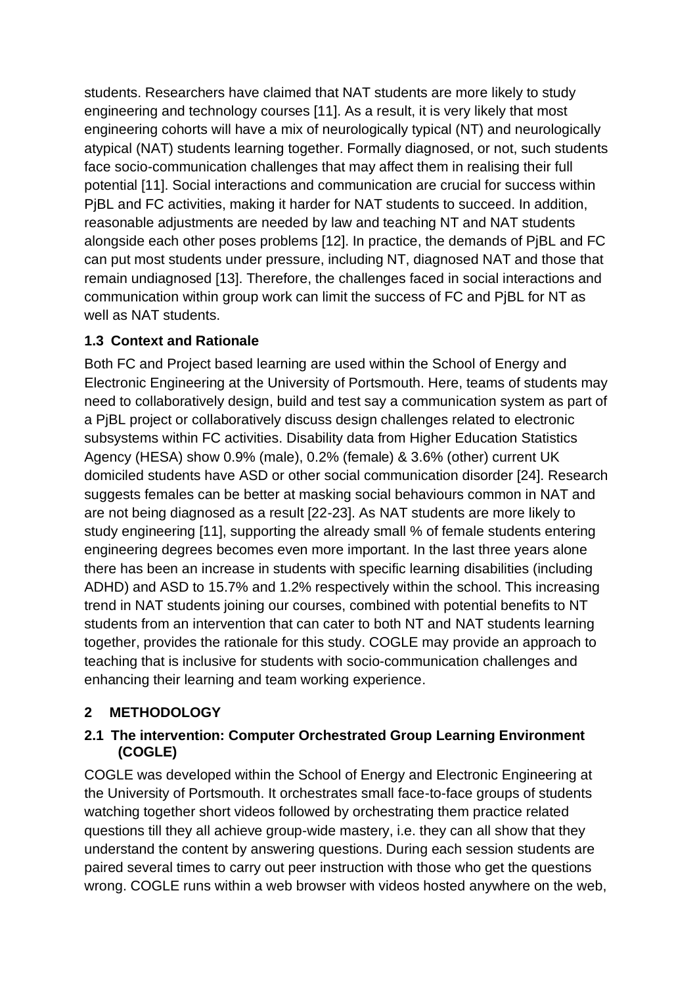students. Researchers have claimed that NAT students are more likely to study engineering and technology courses [11]. As a result, it is very likely that most engineering cohorts will have a mix of neurologically typical (NT) and neurologically atypical (NAT) students learning together. Formally diagnosed, or not, such students face socio-communication challenges that may affect them in realising their full potential [11]. Social interactions and communication are crucial for success within PjBL and FC activities, making it harder for NAT students to succeed. In addition, reasonable adjustments are needed by law and teaching NT and NAT students alongside each other poses problems [12]. In practice, the demands of PjBL and FC can put most students under pressure, including NT, diagnosed NAT and those that remain undiagnosed [13]. Therefore, the challenges faced in social interactions and communication within group work can limit the success of FC and PjBL for NT as well as NAT students.

## **1.3 Context and Rationale**

Both FC and Project based learning are used within the School of Energy and Electronic Engineering at the University of Portsmouth. Here, teams of students may need to collaboratively design, build and test say a communication system as part of a PjBL project or collaboratively discuss design challenges related to electronic subsystems within FC activities. Disability data from Higher Education Statistics Agency (HESA) show 0.9% (male), 0.2% (female) & 3.6% (other) current UK domiciled students have ASD or other social communication disorder [24]. Research suggests females can be better at masking social behaviours common in NAT and are not being diagnosed as a result [22-23]. As NAT students are more likely to study engineering [11], supporting the already small % of female students entering engineering degrees becomes even more important. In the last three years alone there has been an increase in students with specific learning disabilities (including ADHD) and ASD to 15.7% and 1.2% respectively within the school. This increasing trend in NAT students joining our courses, combined with potential benefits to NT students from an intervention that can cater to both NT and NAT students learning together, provides the rationale for this study. COGLE may provide an approach to teaching that is inclusive for students with socio-communication challenges and enhancing their learning and team working experience.

## **2 METHODOLOGY**

#### **2.1 The intervention: Computer Orchestrated Group Learning Environment (COGLE)**

COGLE was developed within the School of Energy and Electronic Engineering at the University of Portsmouth. It orchestrates small face-to-face groups of students watching together short videos followed by orchestrating them practice related questions till they all achieve group-wide mastery, i.e. they can all show that they understand the content by answering questions. During each session students are paired several times to carry out peer instruction with those who get the questions wrong. COGLE runs within a web browser with videos hosted anywhere on the web,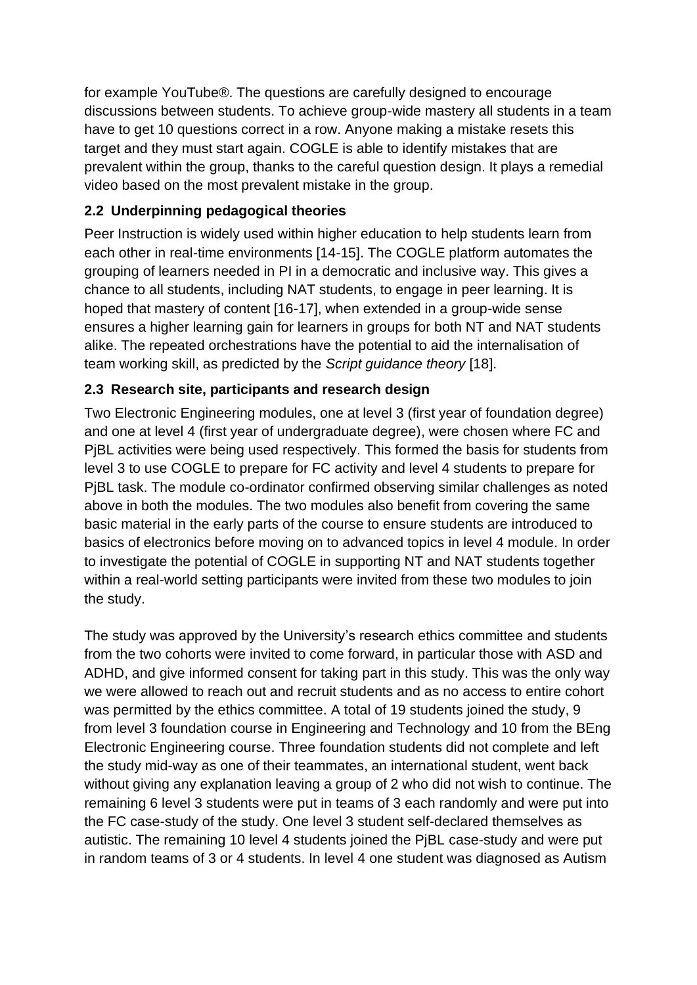for example YouTube®. The questions are carefully designed to encourage discussions between students. To achieve group-wide mastery all students in a team have to get 10 questions correct in a row. Anyone making a mistake resets this target and they must start again. COGLE is able to identify mistakes that are prevalent within the group, thanks to the careful question design. It plays a remedial video based on the most prevalent mistake in the group.

### **2.2 Underpinning pedagogical theories**

Peer Instruction is widely used within higher education to help students learn from each other in real-time environments [14-15]. The COGLE platform automates the grouping of learners needed in PI in a democratic and inclusive way. This gives a chance to all students, including NAT students, to engage in peer learning. It is hoped that mastery of content [16-17], when extended in a group-wide sense ensures a higher learning gain for learners in groups for both NT and NAT students alike. The repeated orchestrations have the potential to aid the internalisation of team working skill, as predicted by the *Script guidance theory* [18].

#### **2.3 Research site, participants and research design**

Two Electronic Engineering modules, one at level 3 (first year of foundation degree) and one at level 4 (first year of undergraduate degree), were chosen where FC and PjBL activities were being used respectively. This formed the basis for students from level 3 to use COGLE to prepare for FC activity and level 4 students to prepare for PjBL task. The module co-ordinator confirmed observing similar challenges as noted above in both the modules. The two modules also benefit from covering the same basic material in the early parts of the course to ensure students are introduced to basics of electronics before moving on to advanced topics in level 4 module. In order to investigate the potential of COGLE in supporting NT and NAT students together within a real-world setting participants were invited from these two modules to join the study.

The study was approved by the University's research ethics committee and students from the two cohorts were invited to come forward, in particular those with ASD and ADHD, and give informed consent for taking part in this study. This was the only way we were allowed to reach out and recruit students and as no access to entire cohort was permitted by the ethics committee. A total of 19 students joined the study, 9 from level 3 foundation course in Engineering and Technology and 10 from the BEng Electronic Engineering course. Three foundation students did not complete and left the study mid-way as one of their teammates, an international student, went back without giving any explanation leaving a group of 2 who did not wish to continue. The remaining 6 level 3 students were put in teams of 3 each randomly and were put into the FC case-study of the study. One level 3 student self-declared themselves as autistic. The remaining 10 level 4 students joined the PjBL case-study and were put in random teams of 3 or 4 students. In level 4 one student was diagnosed as Autism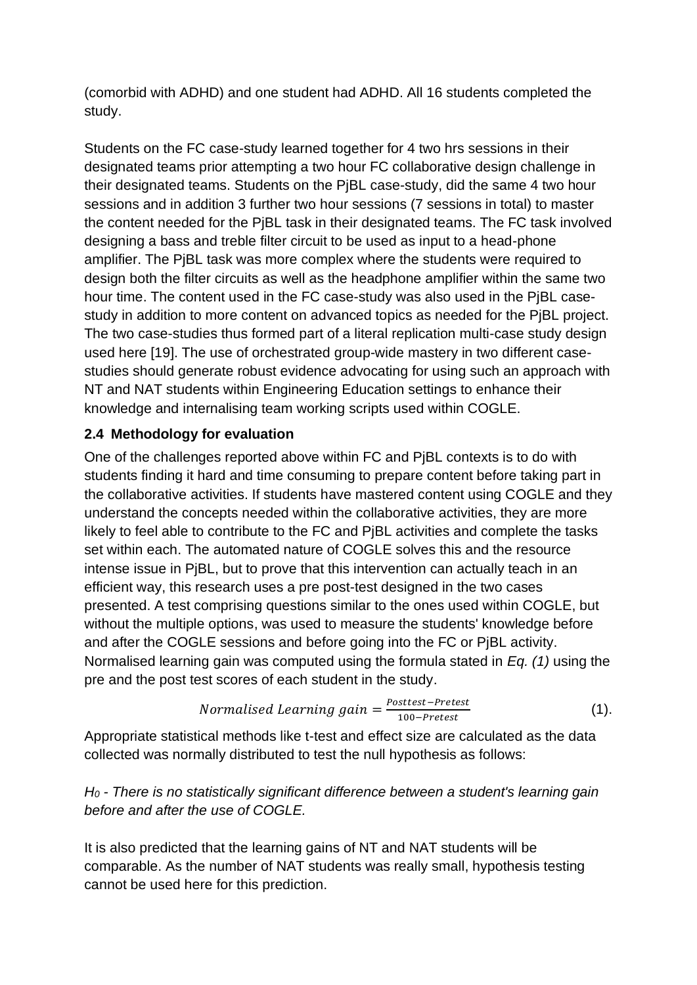(comorbid with ADHD) and one student had ADHD. All 16 students completed the study.

Students on the FC case-study learned together for 4 two hrs sessions in their designated teams prior attempting a two hour FC collaborative design challenge in their designated teams. Students on the PjBL case-study, did the same 4 two hour sessions and in addition 3 further two hour sessions (7 sessions in total) to master the content needed for the PjBL task in their designated teams. The FC task involved designing a bass and treble filter circuit to be used as input to a head-phone amplifier. The PjBL task was more complex where the students were required to design both the filter circuits as well as the headphone amplifier within the same two hour time. The content used in the FC case-study was also used in the PjBL casestudy in addition to more content on advanced topics as needed for the PjBL project. The two case-studies thus formed part of a literal replication multi-case study design used here [19]. The use of orchestrated group-wide mastery in two different casestudies should generate robust evidence advocating for using such an approach with NT and NAT students within Engineering Education settings to enhance their knowledge and internalising team working scripts used within COGLE.

#### **2.4 Methodology for evaluation**

One of the challenges reported above within FC and PjBL contexts is to do with students finding it hard and time consuming to prepare content before taking part in the collaborative activities. If students have mastered content using COGLE and they understand the concepts needed within the collaborative activities, they are more likely to feel able to contribute to the FC and PiBL activities and complete the tasks set within each. The automated nature of COGLE solves this and the resource intense issue in PjBL, but to prove that this intervention can actually teach in an efficient way, this research uses a pre post-test designed in the two cases presented. A test comprising questions similar to the ones used within COGLE, but without the multiple options, was used to measure the students' knowledge before and after the COGLE sessions and before going into the FC or PjBL activity. Normalised learning gain was computed using the formula stated in *Eq. (1)* using the pre and the post test scores of each student in the study.

*Normalised Learning gain* = 
$$
\frac{Posttest-Pretest}{100-Pretest}
$$
 (1).

Appropriate statistical methods like t-test and effect size are calculated as the data collected was normally distributed to test the null hypothesis as follows:

## *H<sup>0</sup> - There is no statistically significant difference between a student's learning gain before and after the use of COGLE.*

It is also predicted that the learning gains of NT and NAT students will be comparable. As the number of NAT students was really small, hypothesis testing cannot be used here for this prediction.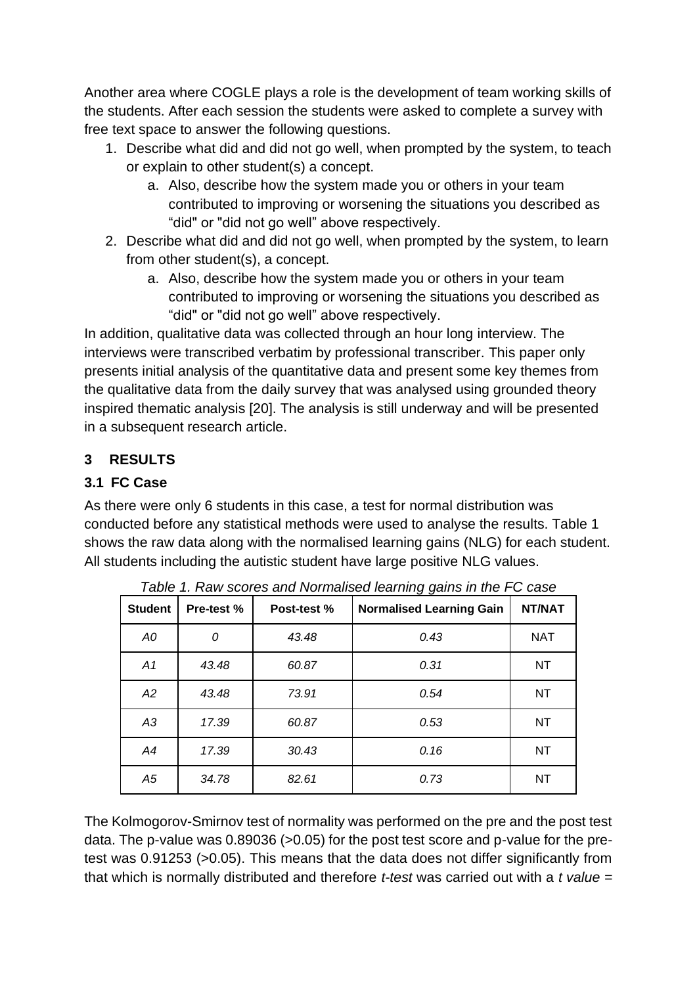Another area where COGLE plays a role is the development of team working skills of the students. After each session the students were asked to complete a survey with free text space to answer the following questions.

- 1. Describe what did and did not go well, when prompted by the system, to teach or explain to other student(s) a concept.
	- a. Also, describe how the system made you or others in your team contributed to improving or worsening the situations you described as "did" or "did not go well" above respectively.
- 2. Describe what did and did not go well, when prompted by the system, to learn from other student(s), a concept.
	- a. Also, describe how the system made you or others in your team contributed to improving or worsening the situations you described as "did" or "did not go well" above respectively.

In addition, qualitative data was collected through an hour long interview. The interviews were transcribed verbatim by professional transcriber. This paper only presents initial analysis of the quantitative data and present some key themes from the qualitative data from the daily survey that was analysed using grounded theory inspired thematic analysis [20]. The analysis is still underway and will be presented in a subsequent research article.

## **3 RESULTS**

# **3.1 FC Case**

As there were only 6 students in this case, a test for normal distribution was conducted before any statistical methods were used to analyse the results. Table 1 shows the raw data along with the normalised learning gains (NLG) for each student. All students including the autistic student have large positive NLG values.

| <b>Student</b> | <b>Pre-test %</b> | Post-test % | - -<br><b>Normalised Learning Gain</b> | NT/NAT     |
|----------------|-------------------|-------------|----------------------------------------|------------|
| A0             | 0                 | 43.48       | 0.43                                   | <b>NAT</b> |
| A1             | 43.48             | 60.87       | 0.31                                   | NT.        |
| A2             | 43.48             | 73.91       | 0.54                                   | NT.        |
| A3             | 17.39             | 60.87       | 0.53                                   | NT.        |
| A4             | 17.39             | 30.43       | 0.16                                   | NT         |
| A5             | 34.78             | 82.61       | 0.73                                   | NT.        |

*Table 1. Raw scores and Normalised learning gains in the FC case* 

The Kolmogorov-Smirnov test of normality was performed on the pre and the post test data. The p-value was 0.89036 (>0.05) for the post test score and p-value for the pretest was 0.91253 (>0.05). This means that the data does not differ significantly from that which is normally distributed and therefore *t-test* was carried out with a *t value =*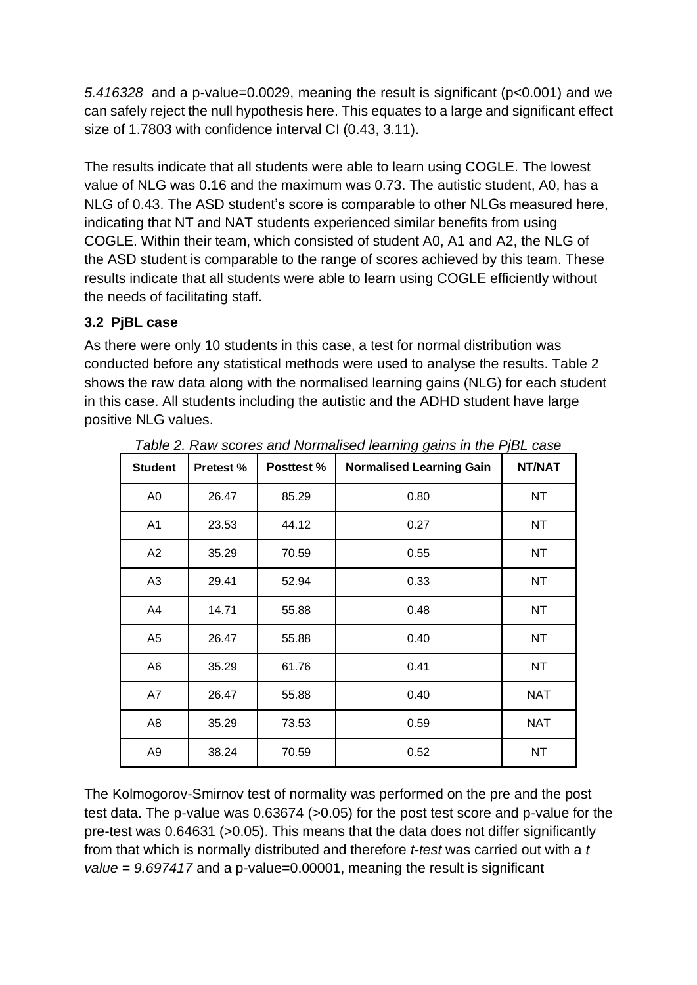*5.416328* and a p-value=0.0029, meaning the result is significant (p<0.001) and we can safely reject the null hypothesis here. This equates to a large and significant effect size of 1.7803 with confidence interval CI (0.43, 3.11).

The results indicate that all students were able to learn using COGLE. The lowest value of NLG was 0.16 and the maximum was 0.73. The autistic student, A0, has a NLG of 0.43. The ASD student's score is comparable to other NLGs measured here, indicating that NT and NAT students experienced similar benefits from using COGLE. Within their team, which consisted of student A0, A1 and A2, the NLG of the ASD student is comparable to the range of scores achieved by this team. These results indicate that all students were able to learn using COGLE efficiently without the needs of facilitating staff.

#### **3.2 PjBL case**

As there were only 10 students in this case, a test for normal distribution was conducted before any statistical methods were used to analyse the results. Table 2 shows the raw data along with the normalised learning gains (NLG) for each student in this case. All students including the autistic and the ADHD student have large positive NLG values.

| <b>Student</b> | <b>Pretest %</b> | <b>Posttest %</b> | <b>Normalised Learning Gain</b> | NT/NAT     |
|----------------|------------------|-------------------|---------------------------------|------------|
| A <sub>0</sub> | 26.47            | 85.29             | 0.80                            | <b>NT</b>  |
| A1             | 23.53            | 44.12             | 0.27                            | <b>NT</b>  |
| A2             | 35.29            | 70.59             | 0.55                            | <b>NT</b>  |
| A <sub>3</sub> | 29.41            | 52.94             | 0.33                            | <b>NT</b>  |
| A4             | 14.71            | 55.88             | 0.48                            | <b>NT</b>  |
| A <sub>5</sub> | 26.47            | 55.88             | 0.40                            | <b>NT</b>  |
| A <sub>6</sub> | 35.29            | 61.76             | 0.41                            | <b>NT</b>  |
| A7             | 26.47            | 55.88             | 0.40                            | <b>NAT</b> |
| A <sub>8</sub> | 35.29            | 73.53             | 0.59                            | <b>NAT</b> |
| A <sub>9</sub> | 38.24            | 70.59             | 0.52                            | <b>NT</b>  |

*Table 2. Raw scores and Normalised learning gains in the PjBL case* 

The Kolmogorov-Smirnov test of normality was performed on the pre and the post test data. The p-value was 0.63674 (>0.05) for the post test score and p-value for the pre-test was 0.64631 (>0.05). This means that the data does not differ significantly from that which is normally distributed and therefore *t-test* was carried out with a *t value = 9.697417* and a p-value=0.00001, meaning the result is significant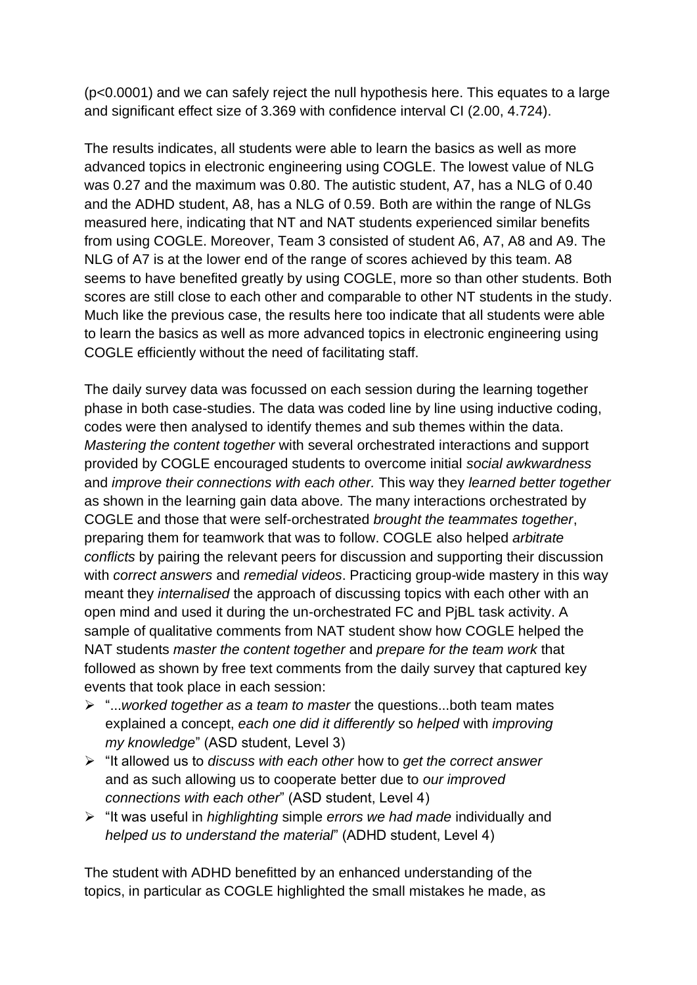(p<0.0001) and we can safely reject the null hypothesis here. This equates to a large and significant effect size of 3.369 with confidence interval CI (2.00, 4.724).

The results indicates, all students were able to learn the basics as well as more advanced topics in electronic engineering using COGLE. The lowest value of NLG was 0.27 and the maximum was 0.80. The autistic student, A7, has a NLG of 0.40 and the ADHD student, A8, has a NLG of 0.59. Both are within the range of NLGs measured here, indicating that NT and NAT students experienced similar benefits from using COGLE. Moreover, Team 3 consisted of student A6, A7, A8 and A9. The NLG of A7 is at the lower end of the range of scores achieved by this team. A8 seems to have benefited greatly by using COGLE, more so than other students. Both scores are still close to each other and comparable to other NT students in the study. Much like the previous case, the results here too indicate that all students were able to learn the basics as well as more advanced topics in electronic engineering using COGLE efficiently without the need of facilitating staff.

The daily survey data was focussed on each session during the learning together phase in both case-studies. The data was coded line by line using inductive coding, codes were then analysed to identify themes and sub themes within the data. *Mastering the content together* with several orchestrated interactions and support provided by COGLE encouraged students to overcome initial *social awkwardness*  and *improve their connections with each other.* This way they *learned better together*  as shown in the learning gain data above*.* The many interactions orchestrated by COGLE and those that were self-orchestrated *brought the teammates together*, preparing them for teamwork that was to follow. COGLE also helped *arbitrate conflicts* by pairing the relevant peers for discussion and supporting their discussion with *correct answers* and *remedial videos*. Practicing group-wide mastery in this way meant they *internalised* the approach of discussing topics with each other with an open mind and used it during the un-orchestrated FC and PjBL task activity. A sample of qualitative comments from NAT student show how COGLE helped the NAT students *master the content together* and *prepare for the team work* that followed as shown by free text comments from the daily survey that captured key events that took place in each session:

- ➢ "...*worked together as a team to master* the questions...both team mates explained a concept, *each one did it differently* so *helped* with *improving my knowledge*" (ASD student, Level 3)
- ➢ "It allowed us to *discuss with each other* how to *get the correct answer* and as such allowing us to cooperate better due to *our improved connections with each other*" (ASD student, Level 4)
- ➢ "It was useful in *highlighting* simple *errors we had made* individually and *helped us to understand the material*" (ADHD student, Level 4)

The student with ADHD benefitted by an enhanced understanding of the topics, in particular as COGLE highlighted the small mistakes he made, as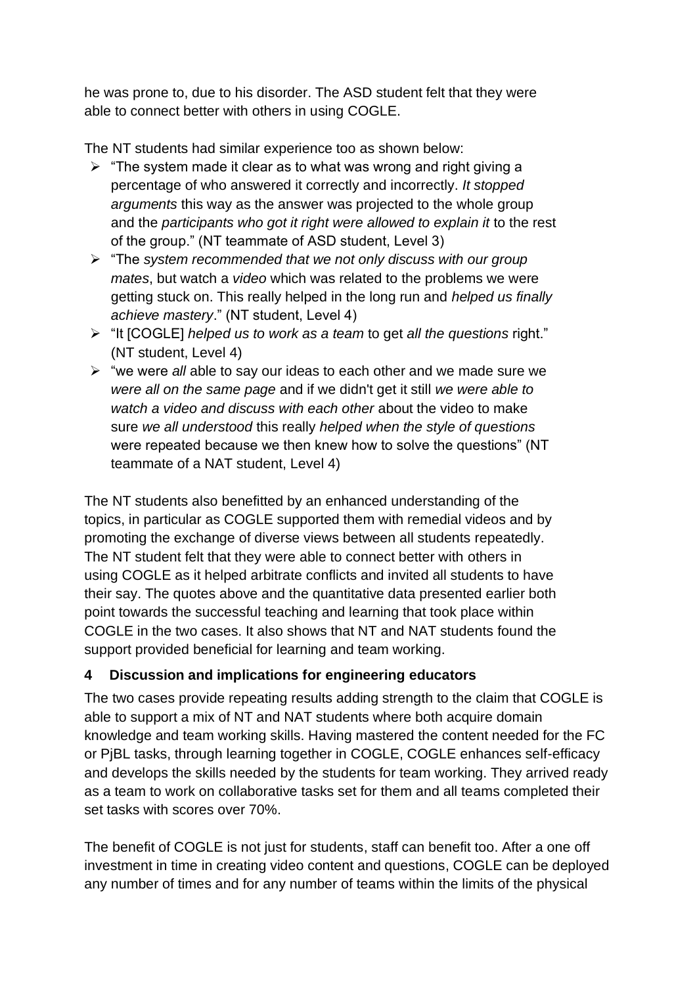he was prone to, due to his disorder. The ASD student felt that they were able to connect better with others in using COGLE.

The NT students had similar experience too as shown below:

- $\triangleright$  "The system made it clear as to what was wrong and right giving a percentage of who answered it correctly and incorrectly. *It stopped arguments* this way as the answer was projected to the whole group and the *participants who got it right were allowed to explain it* to the rest of the group." (NT teammate of ASD student, Level 3)
- ➢ "The *system recommended that we not only discuss with our group mates*, but watch a *video* which was related to the problems we were getting stuck on. This really helped in the long run and *helped us finally achieve mastery*." (NT student, Level 4)
- ➢ "It [COGLE] *helped us to work as a team* to get *all the questions* right." (NT student, Level 4)
- ➢ "we were *all* able to say our ideas to each other and we made sure we *were all on the same page* and if we didn't get it still *we were able to watch a video and discuss with each other* about the video to make sure *we all understood* this really *helped when the style of questions*  were repeated because we then knew how to solve the questions" (NT teammate of a NAT student, Level 4)

The NT students also benefitted by an enhanced understanding of the topics, in particular as COGLE supported them with remedial videos and by promoting the exchange of diverse views between all students repeatedly. The NT student felt that they were able to connect better with others in using COGLE as it helped arbitrate conflicts and invited all students to have their say. The quotes above and the quantitative data presented earlier both point towards the successful teaching and learning that took place within COGLE in the two cases. It also shows that NT and NAT students found the support provided beneficial for learning and team working.

#### **4 Discussion and implications for engineering educators**

The two cases provide repeating results adding strength to the claim that COGLE is able to support a mix of NT and NAT students where both acquire domain knowledge and team working skills. Having mastered the content needed for the FC or PjBL tasks, through learning together in COGLE, COGLE enhances self-efficacy and develops the skills needed by the students for team working. They arrived ready as a team to work on collaborative tasks set for them and all teams completed their set tasks with scores over 70%.

The benefit of COGLE is not just for students, staff can benefit too. After a one off investment in time in creating video content and questions, COGLE can be deployed any number of times and for any number of teams within the limits of the physical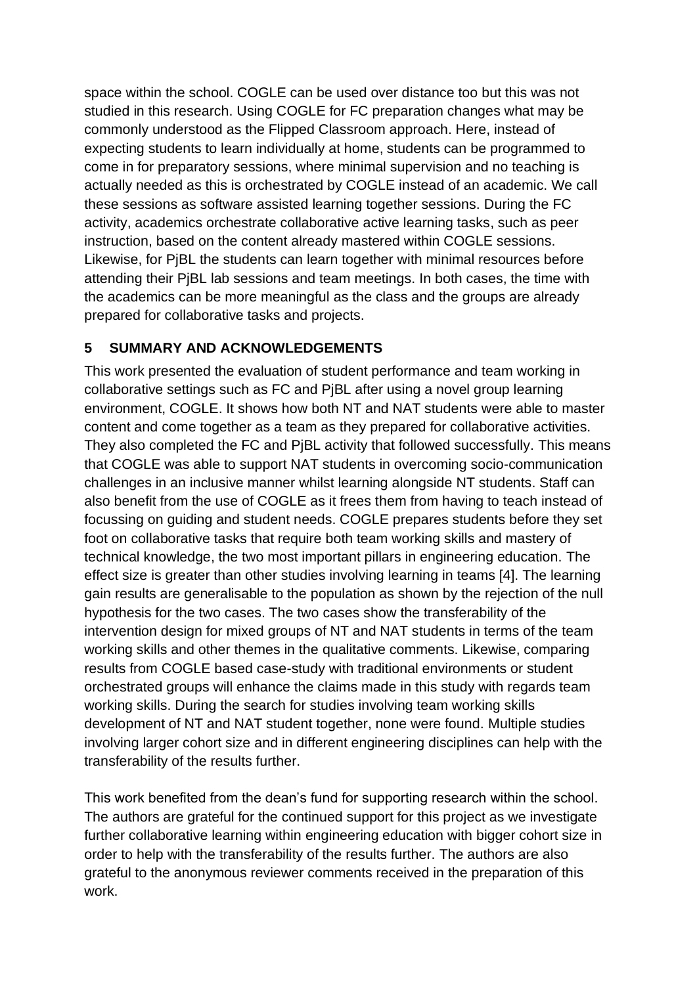space within the school. COGLE can be used over distance too but this was not studied in this research. Using COGLE for FC preparation changes what may be commonly understood as the Flipped Classroom approach. Here, instead of expecting students to learn individually at home, students can be programmed to come in for preparatory sessions, where minimal supervision and no teaching is actually needed as this is orchestrated by COGLE instead of an academic. We call these sessions as software assisted learning together sessions. During the FC activity, academics orchestrate collaborative active learning tasks, such as peer instruction, based on the content already mastered within COGLE sessions. Likewise, for PjBL the students can learn together with minimal resources before attending their PjBL lab sessions and team meetings. In both cases, the time with the academics can be more meaningful as the class and the groups are already prepared for collaborative tasks and projects.

#### **5 SUMMARY AND ACKNOWLEDGEMENTS**

This work presented the evaluation of student performance and team working in collaborative settings such as FC and PjBL after using a novel group learning environment, COGLE. It shows how both NT and NAT students were able to master content and come together as a team as they prepared for collaborative activities. They also completed the FC and PjBL activity that followed successfully. This means that COGLE was able to support NAT students in overcoming socio-communication challenges in an inclusive manner whilst learning alongside NT students. Staff can also benefit from the use of COGLE as it frees them from having to teach instead of focussing on guiding and student needs. COGLE prepares students before they set foot on collaborative tasks that require both team working skills and mastery of technical knowledge, the two most important pillars in engineering education. The effect size is greater than other studies involving learning in teams [4]. The learning gain results are generalisable to the population as shown by the rejection of the null hypothesis for the two cases. The two cases show the transferability of the intervention design for mixed groups of NT and NAT students in terms of the team working skills and other themes in the qualitative comments. Likewise, comparing results from COGLE based case-study with traditional environments or student orchestrated groups will enhance the claims made in this study with regards team working skills. During the search for studies involving team working skills development of NT and NAT student together, none were found. Multiple studies involving larger cohort size and in different engineering disciplines can help with the transferability of the results further.

This work benefited from the dean's fund for supporting research within the school. The authors are grateful for the continued support for this project as we investigate further collaborative learning within engineering education with bigger cohort size in order to help with the transferability of the results further. The authors are also grateful to the anonymous reviewer comments received in the preparation of this work.